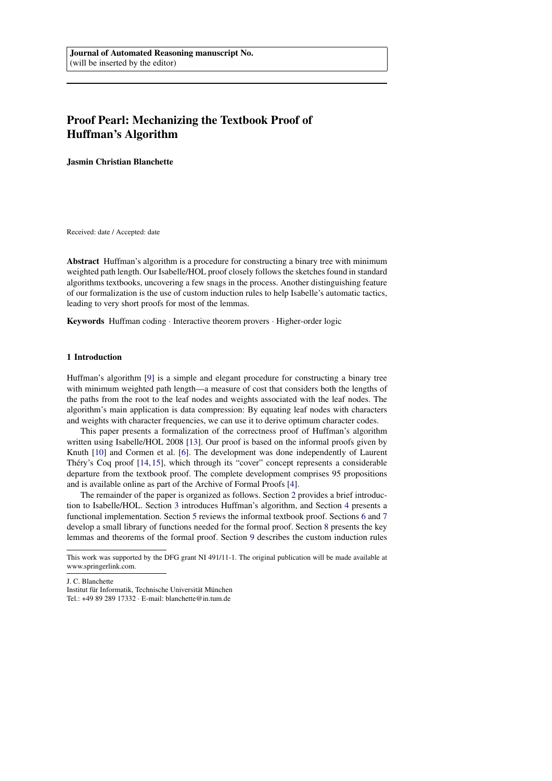# Proof Pearl: Mechanizing the Textbook Proof of Huffman's Algorithm

Jasmin Christian Blanchette

Received: date / Accepted: date

Abstract Huffman's algorithm is a procedure for constructing a binary tree with minimum weighted path length. Our Isabelle/HOL proof closely follows the sketches found in standard algorithms textbooks, uncovering a few snags in the process. Another distinguishing feature of our formalization is the use of custom induction rules to help Isabelle's automatic tactics, leading to very short proofs for most of the lemmas.

Keywords Huffman coding · Interactive theorem provers · Higher-order logic

## 1 Introduction

Huffman's algorithm [\[9\]](#page-15-0) is a simple and elegant procedure for constructing a binary tree with minimum weighted path length—a measure of cost that considers both the lengths of the paths from the root to the leaf nodes and weights associated with the leaf nodes. The algorithm's main application is data compression: By equating leaf nodes with characters and weights with character frequencies, we can use it to derive optimum character codes.

This paper presents a formalization of the correctness proof of Huffman's algorithm written using Isabelle/HOL 2008 [\[13\]](#page-15-1). Our proof is based on the informal proofs given by Knuth [\[10\]](#page-15-2) and Cormen et al. [\[6\]](#page-15-3). The development was done independently of Laurent Thery's Coq proof  $[14, 15]$  $[14, 15]$  $[14, 15]$  $[14, 15]$ , which through its "cover" concept represents a considerable departure from the textbook proof. The complete development comprises 95 propositions and is available online as part of the Archive of Formal Proofs [\[4\]](#page-15-6).

The remainder of the paper is organized as follows. Section [2](#page-1-0) provides a brief introduction to Isabelle/HOL. Section [3](#page-1-1) introduces Huffman's algorithm, and Section [4](#page-2-0) presents a functional implementation. Section [5](#page-3-0) reviews the informal textbook proof. Sections [6](#page-4-0) and [7](#page-6-0) develop a small library of functions needed for the formal proof. Section [8](#page-7-0) presents the key lemmas and theorems of the formal proof. Section [9](#page-11-0) describes the custom induction rules

J. C. Blanchette

Institut für Informatik, Technische Universität München

Tel.: +49 89 289 17332 · E-mail: blanchette@in.tum.de

This work was supported by the DFG grant NI 491/11-1. The original publication will be made available at www.springerlink.com.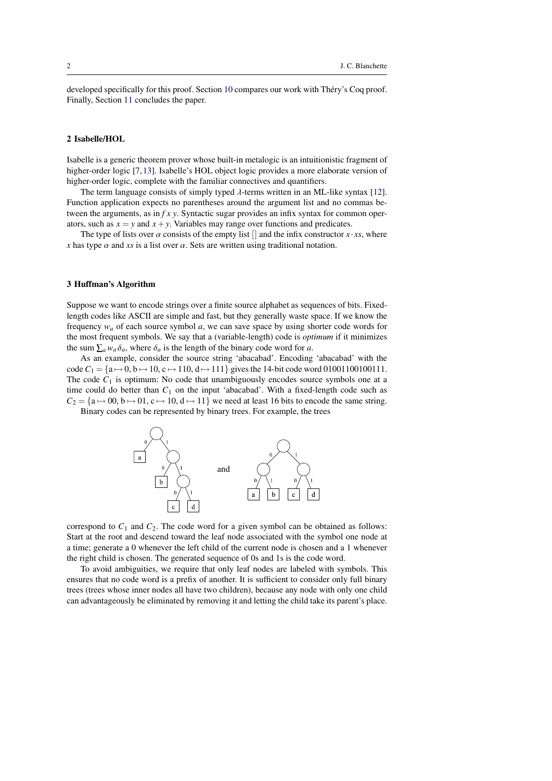developed specifically for this proof. Section [10](#page-13-0) compares our work with Théry's Coq proof. Finally, Section [11](#page-14-0) concludes the paper.

# <span id="page-1-0"></span>2 Isabelle/HOL

Isabelle is a generic theorem prover whose built-in metalogic is an intuitionistic fragment of higher-order logic [\[7,](#page-15-7)[13\]](#page-15-1). Isabelle's HOL object logic provides a more elaborate version of higher-order logic, complete with the familiar connectives and quantifiers.

The term language consists of simply typed  $\lambda$ -terms written in an ML-like syntax [\[12\]](#page-15-8). Function application expects no parentheses around the argument list and no commas between the arguments, as in *f x y*. Syntactic sugar provides an infix syntax for common operators, such as  $x = y$  and  $x + y$ . Variables may range over functions and predicates.

The type of lists over  $\alpha$  consists of the empty list  $\Box$  and the infix constructor  $x \cdot xs$ , where *x* has type  $\alpha$  and *xs* is a list over  $\alpha$ . Sets are written using traditional notation.

## <span id="page-1-1"></span>3 Huffman's Algorithm

Suppose we want to encode strings over a finite source alphabet as sequences of bits. Fixedlength codes like ASCII are simple and fast, but they generally waste space. If we know the frequency *w<sup>a</sup>* of each source symbol *a*, we can save space by using shorter code words for the most frequent symbols. We say that a (variable-length) code is *optimum* if it minimizes the sum  $\sum_a w_a \delta_a$ , where  $\delta_a$  is the length of the binary code word for *a*.

As an example, consider the source string 'abacabad'. Encoding 'abacabad' with the code  $C_1 = \{a \mapsto 0, b \mapsto 10, c \mapsto 110, d \mapsto 111\}$  gives the 14-bit code word 01001100100111. The code  $C_1$  is optimum: No code that unambiguously encodes source symbols one at a time could do better than  $C_1$  on the input 'abacabad'. With a fixed-length code such as  $C_2 = \{a \mapsto 00, b \mapsto 01, c \mapsto 10, d \mapsto 11\}$  we need at least 16 bits to encode the same string.

Binary codes can be represented by binary trees. For example, the trees



correspond to  $C_1$  and  $C_2$ . The code word for a given symbol can be obtained as follows: Start at the root and descend toward the leaf node associated with the symbol one node at a time; generate a 0 whenever the left child of the current node is chosen and a 1 whenever the right child is chosen. The generated sequence of 0s and 1s is the code word.

To avoid ambiguities, we require that only leaf nodes are labeled with symbols. This ensures that no code word is a prefix of another. It is sufficient to consider only full binary trees (trees whose inner nodes all have two children), because any node with only one child can advantageously be eliminated by removing it and letting the child take its parent's place.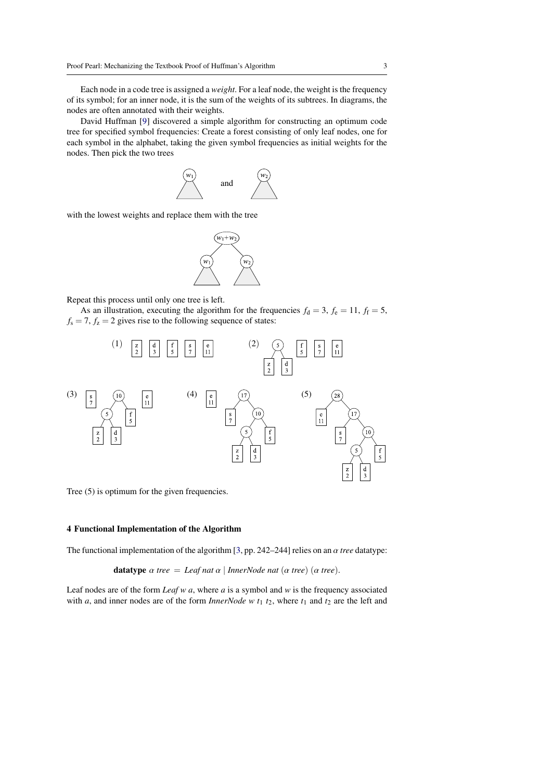Each node in a code tree is assigned a *weight*. For a leaf node, the weight is the frequency of its symbol; for an inner node, it is the sum of the weights of its subtrees. In diagrams, the nodes are often annotated with their weights.

David Huffman [\[9\]](#page-15-0) discovered a simple algorithm for constructing an optimum code tree for specified symbol frequencies: Create a forest consisting of only leaf nodes, one for each symbol in the alphabet, taking the given symbol frequencies as initial weights for the nodes. Then pick the two trees



with the lowest weights and replace them with the tree



Repeat this process until only one tree is left.

As an illustration, executing the algorithm for the frequencies  $f_d = 3$ ,  $f_e = 11$ ,  $f_f = 5$ ,  $f_s = 7$ ,  $f_z = 2$  gives rise to the following sequence of states:



Tree (5) is optimum for the given frequencies.

#### <span id="page-2-0"></span>4 Functional Implementation of the Algorithm

The functional implementation of the algorithm [\[3,](#page-15-9) pp. 242–244] relies on an α *tree* datatype:

**datatype**  $\alpha$  *tree* = *Leaf nat*  $\alpha$  | *InnerNode nat*  $(\alpha$  *tree*)  $(\alpha$  *tree*).

Leaf nodes are of the form *Leaf w a*, where *a* is a symbol and *w* is the frequency associated with *a*, and inner nodes are of the form *InnerNode* w  $t_1$   $t_2$ , where  $t_1$  and  $t_2$  are the left and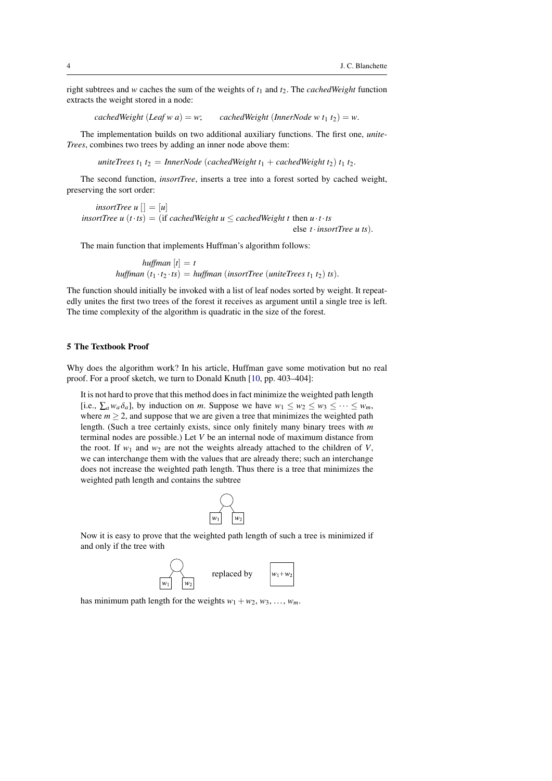right subtrees and *w* caches the sum of the weights of *t*<sup>1</sup> and *t*2. The *cachedWeight* function extracts the weight stored in a node:

*cachedWeight* (*Leaf w a*) = *w*; *cachedWeight* (*InnerNode w t*<sub>1</sub> *t*<sub>2</sub>) = *w*.

The implementation builds on two additional auxiliary functions. The first one, *unite-Trees*, combines two trees by adding an inner node above them:

*uniteTrees t*<sub>1</sub> *t*<sub>2</sub> = *InnerNode* (*cachedWeight t*<sub>1</sub> + *cachedWeight t*<sub>2</sub>) *t*<sub>1</sub> *t*<sub>2</sub>.

The second function, *insortTree*, inserts a tree into a forest sorted by cached weight, preserving the sort order:

*insortTree u*  $| \cdot | = |u|$ *insortTree u*  $(t \cdot ts) =$  (if *cachedWeight u*  $\leq$  *cachedWeight t* then  $u \cdot t \cdot ts$ else *<sup>t</sup>*·*insortTree u ts*).

The main function that implements Huffman's algorithm follows:

*huffman*  $[t] = t$ *huffman*  $(t_1 \cdot t_2 \cdot ts) = \text{huffman}$  (*insortTree* (*uniteTrees*  $t_1$   $t_2$ )  $ts$ ).

The function should initially be invoked with a list of leaf nodes sorted by weight. It repeatedly unites the first two trees of the forest it receives as argument until a single tree is left. The time complexity of the algorithm is quadratic in the size of the forest.

# <span id="page-3-0"></span>5 The Textbook Proof

Why does the algorithm work? In his article, Huffman gave some motivation but no real proof. For a proof sketch, we turn to Donald Knuth [\[10,](#page-15-2) pp. 403–404]:

It is not hard to prove that this method does in fact minimize the weighted path length [i.e.,  $\sum_{a} w_a \delta_a$ ], by induction on *m*. Suppose we have  $w_1 \leq w_2 \leq w_3 \leq \cdots \leq w_m$ , where  $m > 2$ , and suppose that we are given a tree that minimizes the weighted path length. (Such a tree certainly exists, since only finitely many binary trees with *m* terminal nodes are possible.) Let *V* be an internal node of maximum distance from the root. If  $w_1$  and  $w_2$  are not the weights already attached to the children of *V*, we can interchange them with the values that are already there; such an interchange does not increase the weighted path length. Thus there is a tree that minimizes the weighted path length and contains the subtree



Now it is easy to prove that the weighted path length of such a tree is minimized if and only if the tree with



has minimum path length for the weights  $w_1 + w_2, w_3, \ldots, w_m$ .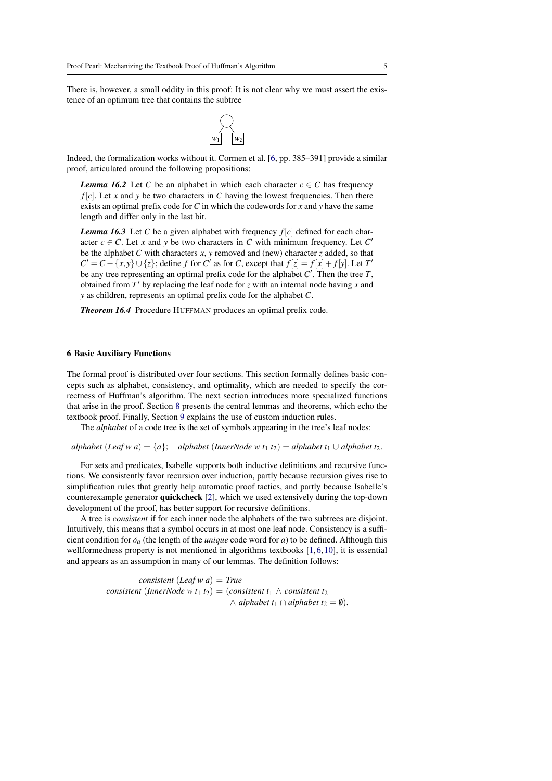There is, however, a small oddity in this proof: It is not clear why we must assert the existence of an optimum tree that contains the subtree



Indeed, the formalization works without it. Cormen et al. [\[6,](#page-15-3) pp. 385–391] provide a similar proof, articulated around the following propositions:

*Lemma 16.2* Let *C* be an alphabet in which each character  $c \in C$  has frequency  $f[c]$ . Let *x* and *y* be two characters in *C* having the lowest frequencies. Then there exists an optimal prefix code for *C* in which the codewords for *x* and *y* have the same length and differ only in the last bit.

*Lemma 16.3* Let *C* be a given alphabet with frequency  $f[c]$  defined for each character  $c \in C$ . Let *x* and *y* be two characters in *C* with minimum frequency. Let *C*<sup>*'*</sup> be the alphabet *C* with characters *x*, *y* removed and (new) character *z* added, so that  $C' = C - \{x, y\} \cup \{z\}$ ; define *f* for *C*' as for *C*, except that  $f[z] = f[x] + f[y]$ . Let *T*<sup> $\prime$ </sup> be any tree representing an optimal prefix code for the alphabet  $C'$ . Then the tree *T* be any tree representing an optimal prefix code for the alphabet  $C'$ . Then the tree  $T$ , obtained from  $T'$  by replacing the leaf node for  $z$  with an internal node having  $x$  and *y* as children, represents an optimal prefix code for the alphabet *C*.

*Theorem 16.4* Procedure HUFFMAN produces an optimal prefix code.

#### <span id="page-4-0"></span>6 Basic Auxiliary Functions

The formal proof is distributed over four sections. This section formally defines basic concepts such as alphabet, consistency, and optimality, which are needed to specify the correctness of Huffman's algorithm. The next section introduces more specialized functions that arise in the proof. Section [8](#page-7-0) presents the central lemmas and theorems, which echo the textbook proof. Finally, Section [9](#page-11-0) explains the use of custom induction rules.

The *alphabet* of a code tree is the set of symbols appearing in the tree's leaf nodes:

*alphabet* (*Leaf w a*) = {*a*}; *alphabet* (*InnerNode w t*<sub>1</sub> *t*<sub>2</sub>) = *alphabet t*<sub>1</sub> ∪ *alphabet t*<sub>2</sub>.

For sets and predicates, Isabelle supports both inductive definitions and recursive functions. We consistently favor recursion over induction, partly because recursion gives rise to simplification rules that greatly help automatic proof tactics, and partly because Isabelle's counterexample generator quickcheck [\[2\]](#page-14-1), which we used extensively during the top-down development of the proof, has better support for recursive definitions.

A tree is *consistent* if for each inner node the alphabets of the two subtrees are disjoint. Intuitively, this means that a symbol occurs in at most one leaf node. Consistency is a sufficient condition for <sup>δ</sup>*<sup>a</sup>* (the length of the *unique* code word for *<sup>a</sup>*) to be defined. Although this wellformedness property is not mentioned in algorithms textbooks [\[1,](#page-14-2)[6,](#page-15-3)[10\]](#page-15-2), it is essential and appears as an assumption in many of our lemmas. The definition follows:

> *consistent* (*Leaf w a*) = *True consistent* (*InnerNode w t*<sub>1</sub> *t*<sub>2</sub>) = (*consistent t*<sub>1</sub>  $\wedge$  *consistent t*<sub>2</sub>  $∧$  *alphabet*  $t_1 ∩$  *alphabet*  $t_2 = ∅$ ).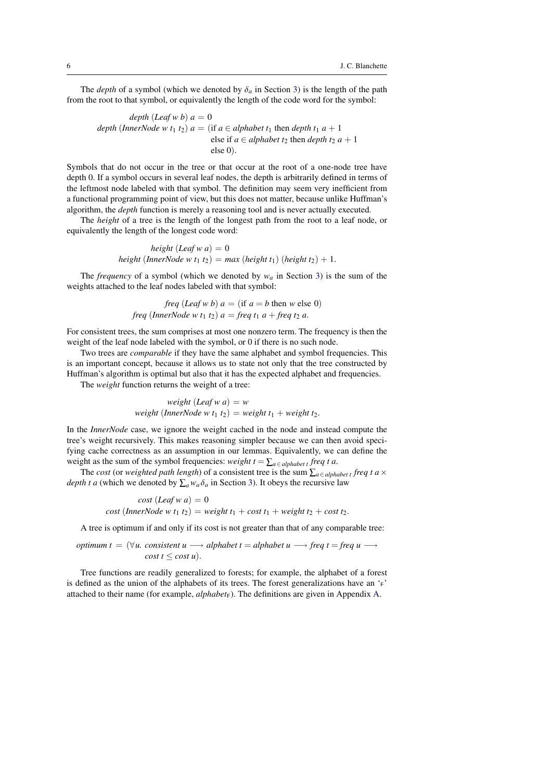The *depth* of a symbol (which we denoted by  $\delta_a$  in Section [3\)](#page-1-1) is the length of the path from the root to that symbol, or equivalently the length of the code word for the symbol:

depth (Leaf w b) 
$$
a = 0
$$
  
depth (InnerNode w t<sub>1</sub> t<sub>2</sub>)  $a = (\text{if } a \in alphabet t_1 \text{ then depth } t_1 a + 1 \text{ else if } a \in alphabet t_2 \text{ then depth } t_2 a + 1 \text{ else } 0).$ 

Symbols that do not occur in the tree or that occur at the root of a one-node tree have depth 0. If a symbol occurs in several leaf nodes, the depth is arbitrarily defined in terms of the leftmost node labeled with that symbol. The definition may seem very inefficient from a functional programming point of view, but this does not matter, because unlike Huffman's algorithm, the *depth* function is merely a reasoning tool and is never actually executed.

The *height* of a tree is the length of the longest path from the root to a leaf node, or equivalently the length of the longest code word:

> $height (Leaf w a) = 0$ *height* (*InnerNode w t*<sub>1</sub> *t*<sub>2</sub>) = *max* (*height t*<sub>1</sub>) (*height t*<sub>2</sub>) + 1.

The *frequency* of a symbol (which we denoted by  $w_a$  in Section [3\)](#page-1-1) is the sum of the weights attached to the leaf nodes labeled with that symbol:

$$
freq (Leaf \, w \, b) \, a = (if \, a = b \, then \, w \, else \, 0)
$$
\n
$$
freq (InnerNode \, w \, t_1 \, t_2) \, a = freq \, t_1 \, a + freq \, t_2 \, a.
$$

For consistent trees, the sum comprises at most one nonzero term. The frequency is then the weight of the leaf node labeled with the symbol, or 0 if there is no such node.

Two trees are *comparable* if they have the same alphabet and symbol frequencies. This is an important concept, because it allows us to state not only that the tree constructed by Huffman's algorithm is optimal but also that it has the expected alphabet and frequencies.

The *weight* function returns the weight of a tree:

*weight*  $(Leaf w a) = w$ *weight* (*InnerNode w t*<sub>1</sub> *t*<sub>2</sub>) = *weight t*<sub>1</sub> + *weight t*<sub>2</sub>*.* 

In the *InnerNode* case, we ignore the weight cached in the node and instead compute the tree's weight recursively. This makes reasoning simpler because we can then avoid specifying cache correctness as an assumption in our lemmas. Equivalently, we can define the weight as the sum of the symbol frequencies: *weight*  $t = \sum_{a \in alphabet} t$  *freq t a.* 

The *cost* (or *weighted path length*) of a consistent tree is the sum  $\sum_{a \in alphabet} t$  freq t a  $\times$ *depth t a* (which we denoted by  $\sum_a w_a \delta_a$  in Section [3\)](#page-1-1). It obeys the recursive law

cost 
$$
(Leaf \le a) = 0
$$
  
cost  $(InnerNode \le t_1 t_2) = weight t_1 + cost t_1 + weight t_2 + cost t_2.$ 

A tree is optimum if and only if its cost is not greater than that of any comparable tree:

*optimum t* =  $(\forall u$ . *consistent*  $u \rightarrow$  *alphabet*  $t = alphabet u \rightarrow$  *freq*  $t = \text{freq } u \rightarrow$ *cost*  $t \leq cost$  *u*).

Tree functions are readily generalized to forests; for example, the alphabet of a forest is defined as the union of the alphabets of its trees. The forest generalizations have an 'F' attached to their name (for example,  $\alpha$ *lphabet<sub>F</sub>*). The definitions are given in Appendix [A.](#page-15-10)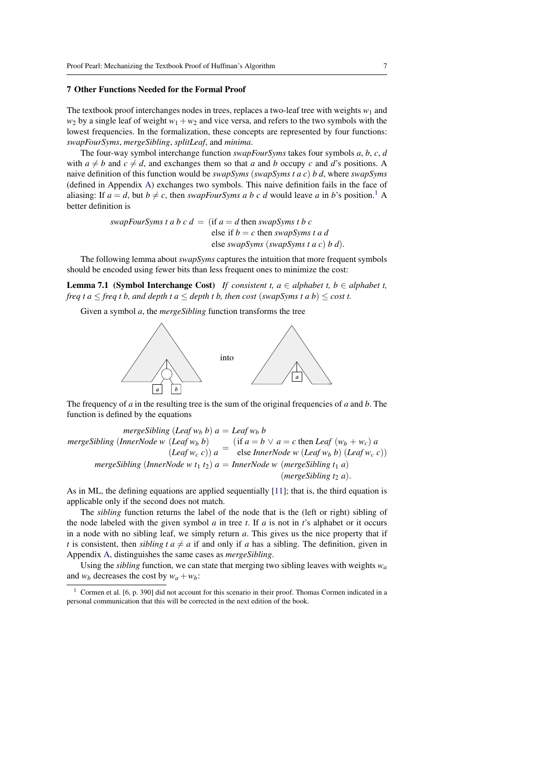#### <span id="page-6-0"></span>7 Other Functions Needed for the Formal Proof

The textbook proof interchanges nodes in trees, replaces a two-leaf tree with weights  $w_1$  and  $w_2$  by a single leaf of weight  $w_1 + w_2$  and vice versa, and refers to the two symbols with the lowest frequencies. In the formalization, these concepts are represented by four functions: *swapFourSyms*, *mergeSibling*, *splitLeaf*, and *minima*.

The four-way symbol interchange function *swapFourSyms* takes four symbols *a*, *b*, *c*, *d* with  $a \neq b$  and  $c \neq d$ , and exchanges them so that *a* and *b* occupy *c* and *d*'s positions. A naive definition of this function would be *swapSyms* (*swapSyms t a c*) *b d*, where *swapSyms* (defined in Appendix [A\)](#page-15-10) exchanges two symbols. This naive definition fails in the face of aliasing: If  $a = d$ , but  $b \neq c$ , then *swapFourSyms a b c d* would leave *a* in *b*'s position.<sup>[1](#page-6-1)</sup> A better definition is

> *swapFourSyms t a b c d = (if*  $a = d$  *then <i>swapSyms t b c* else if  $b = c$  then *swapSyms t a d* else *swapSyms* (*swapSyms t a c*) *b d*).

The following lemma about *swapSyms* captures the intuition that more frequent symbols should be encoded using fewer bits than less frequent ones to minimize the cost:

<span id="page-6-2"></span>**Lemma 7.1** (Symbol Interchange Cost) *If consistent t, a*  $\in$  *alphabet t, b*  $\in$  *alphabet t, freq t a*  $\leq$  *freq t b, and depth t a*  $\leq$  *depth t b, then cost* (*swapSyms t a b*)  $\leq$  *cost t.* 

Given a symbol *a*, the *mergeSibling* function transforms the tree



The frequency of *a* in the resulting tree is the sum of the original frequencies of *a* and *b*. The function is defined by the equations

*mergeSibling* (*Leaf*  $w_b$  *b*)  $a =$  *Leaf*  $w_b$  *b mergeSibling* (*InnerNode w* (*Leaf w<sup>b</sup> b*)  $(Leqf w_b b)$ <br>  $(Leqf w_c c))$  *a* =  $(\text{if } a = b \lor a = c \text{ then } \text{Leaf}(w_b + w_c)$  *a*<br>
else *InnerNode w* (*Leaf w<sub>b</sub> b*) (*Leaf w<sub>c</sub> v* else *InnerNode w* (*Leaf w<sup>b</sup> b*) (*Leaf w<sup>c</sup> c*)) *mergeSibling* (*InnerNode w t*<sub>1</sub> *t*<sub>2</sub>)  $a =$  *InnerNode w* (*mergeSibling t*<sub>1</sub> *a*)  $(mergeSibling t<sub>2</sub> a).$ 

As in ML, the defining equations are applied sequentially [\[11\]](#page-15-11); that is, the third equation is applicable only if the second does not match.

The *sibling* function returns the label of the node that is the (left or right) sibling of the node labeled with the given symbol *a* in tree *t*. If *a* is not in *t*'s alphabet or it occurs in a node with no sibling leaf, we simply return *a*. This gives us the nice property that if *t* is consistent, then *sibling t a*  $\neq$  *a* if and only if *a* has a sibling. The definition, given in Appendix [A,](#page-15-10) distinguishes the same cases as *mergeSibling*.

Using the *sibling* function, we can state that merging two sibling leaves with weights  $w_a$ and  $w_b$  decreases the cost by  $w_a + w_b$ :

<span id="page-6-3"></span><span id="page-6-1"></span><sup>&</sup>lt;sup>1</sup> Cormen et al. [\[6,](#page-15-3) p. 390] did not account for this scenario in their proof. Thomas Cormen indicated in a personal communication that this will be corrected in the next edition of the book.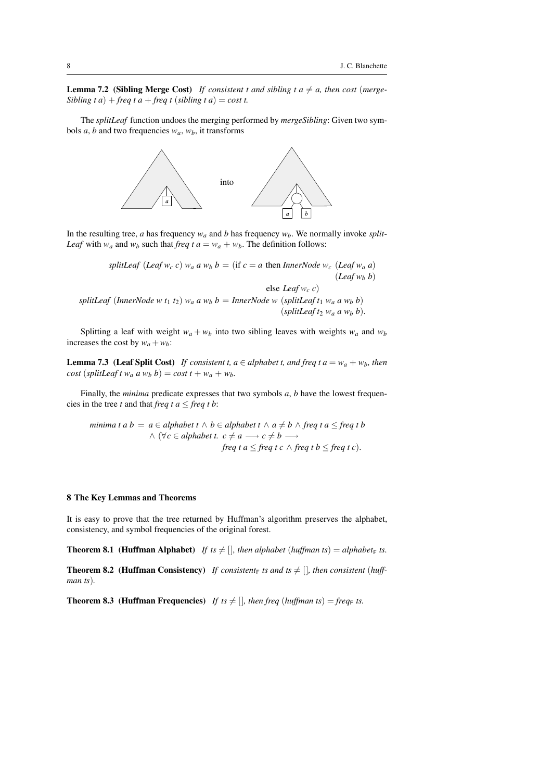**Lemma 7.2 (Sibling Merge Cost)** If consistent t and sibling t  $a \neq a$ , then cost (merge-*Sibling t a*) + *freq t a* + *freq t* (*sibling t a*) = *cost t.* 

The *splitLeaf* function undoes the merging performed by *mergeSibling*: Given two symbols *a*, *b* and two frequencies  $w_a$ ,  $w_b$ , it transforms



In the resulting tree, *a* has frequency  $w_a$  and *b* has frequency  $w_b$ . We normally invoke *split*-*Leaf* with  $w_a$  and  $w_b$  such that *freq t a* =  $w_a + w_b$ . The definition follows:

> *splitLeaf* (*Leaf*  $w_c$  *c*)  $w_a$  *a*  $w_b$   $b =$  (if  $c = a$  then *InnerNode*  $w_c$  (*Leaf*  $w_a$  *a*)  $(Lea f w_h b)$

else *Leaf w<sup>c</sup> c*) *splitLeaf* (*InnerNode w t*<sub>1</sub> *t*<sub>2</sub>) *w<sub>a</sub> a w<sub>b</sub> b* = *InnerNode w* (*splitLeaf t*<sub>1</sub> *w<sub>a</sub> a w<sub>b</sub> b*) (*splitLeaf*  $t_2$   $w_a$   $a$   $w_b$   $b$ ).

Splitting a leaf with weight  $w_a + w_b$  into two sibling leaves with weights  $w_a$  and  $w_b$ increases the cost by  $w_a + w_b$ :

<span id="page-7-1"></span>**Lemma 7.3** (Leaf Split Cost) *If consistent t, a*  $\in$  *alphabet t, and freq t a* =  $w_a + w_b$ *, then cost* (*splitLeaf t*  $w_a$  *a*  $w_b$  *b*) = *cost*  $t + w_a + w_b$ .

Finally, the *minima* predicate expresses that two symbols *a*, *b* have the lowest frequencies in the tree *t* and that *freq t a*  $\leq$  *freq t b*:

minima 
$$
t
$$
 a  $b = a \in alphabet$   $t \wedge b \in alphabet$   $t \wedge a \neq b \wedge freq$   $t$   $a \leq freq$   $t$   $b \wedge (\forall c \in alphabet$   $t$ .  $c \neq a \longrightarrow c \neq b \longrightarrow$   

$$
\wedge (\forall c \in alphabet
$$
  $t$ .  $c \neq a \longrightarrow c \neq b \longrightarrow$   

$$
freq
$$
  $t$   $a \leq freq$   $t$   $c \wedge freq$   $t$   $b \leq freq$   $t$   $c$ ).

#### <span id="page-7-0"></span>8 The Key Lemmas and Theorems

It is easy to prove that the tree returned by Huffman's algorithm preserves the alphabet, consistency, and symbol frequencies of the original forest.

**Theorem 8.1** (Huffman Alphabet) *If ts*  $\neq$  []*, then alphabet* (*huffman ts*) = *alphabet*<sub>F</sub> *ts.* 

**Theorem 8.2** (Huffman Consistency) If consistent<sub>F</sub> is and is  $\neq$  [], then consistent (huff*man ts*)*.*

**Theorem 8.3** (Huffman Frequencies) *If ts*  $\neq$  []*, then freq* (*huffman ts*) = *freq<sub>F</sub> ts.*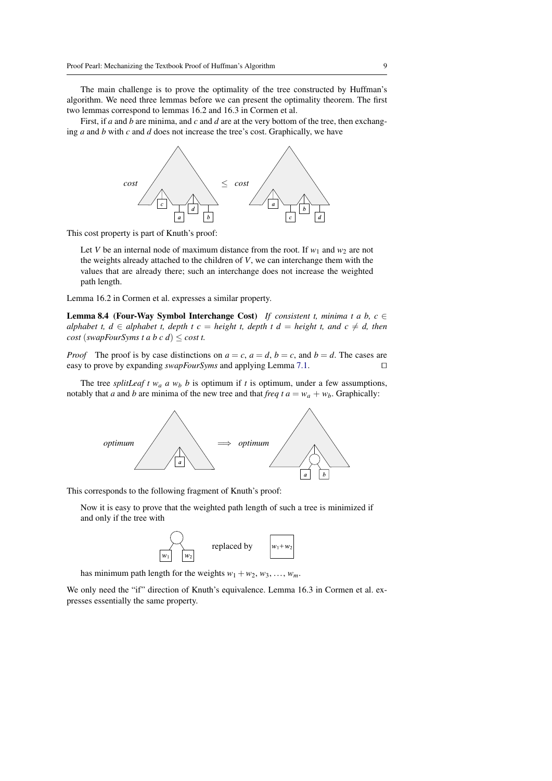The main challenge is to prove the optimality of the tree constructed by Huffman's algorithm. We need three lemmas before we can present the optimality theorem. The first two lemmas correspond to lemmas 16.2 and 16.3 in Cormen et al.

First, if *a* and *b* are minima, and *c* and *d* are at the very bottom of the tree, then exchanging *a* and *b* with *c* and *d* does not increase the tree's cost. Graphically, we have



This cost property is part of Knuth's proof:

Let *V* be an internal node of maximum distance from the root. If  $w_1$  and  $w_2$  are not the weights already attached to the children of *V*, we can interchange them with the values that are already there; such an interchange does not increase the weighted path length.

Lemma 16.2 in Cormen et al. expresses a similar property.

<span id="page-8-0"></span>Lemma 8.4 (Four-Way Symbol Interchange Cost) *If consistent t, minima t a b, c* ∈ *alphabet t, d*  $\in$  *alphabet t, depth t c* = *height t, depth t d* = *height t, and c*  $\neq$  *d, then cost* (*swapFourSyms t a b c d*)  $\le$  *cost t.* 

*Proof* The proof is by case distinctions on  $a = c$ ,  $a = d$ ,  $b = c$ , and  $b = d$ . The cases are easy to prove by expanding *swapFourSyms* and applying Lemma [7.1.](#page-6-2) □

The tree *splitLeaf t*  $w_a$  *a*  $w_b$  *b* is optimum if *t* is optimum, under a few assumptions, notably that *a* and *b* are minima of the new tree and that *freq t a* =  $w_a + w_b$ . Graphically:



This corresponds to the following fragment of Knuth's proof:

Now it is easy to prove that the weighted path length of such a tree is minimized if and only if the tree with



has minimum path length for the weights  $w_1 + w_2, w_3, \ldots, w_m$ .

<span id="page-8-1"></span>We only need the "if" direction of Knuth's equivalence. Lemma 16.3 in Cormen et al. expresses essentially the same property.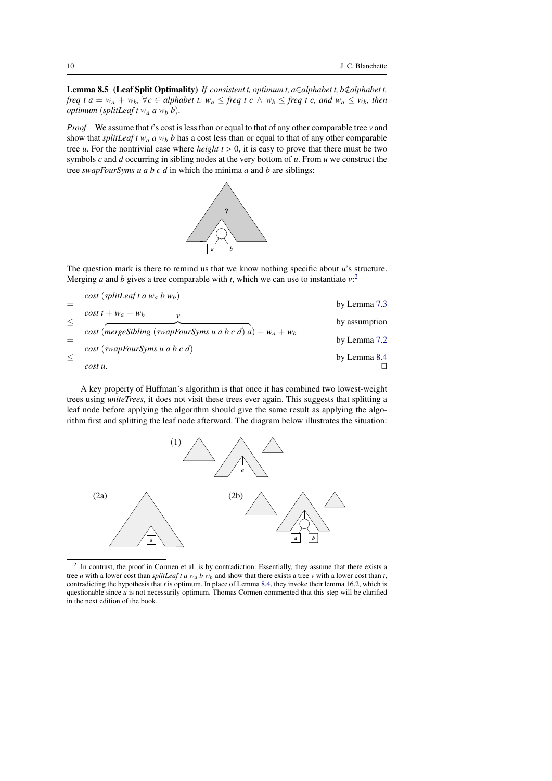Lemma 8.5 (Leaf Split Optimality) *If consistent t, optimum t, a∈alphabet t, b∉alphabet t, freq t a* =  $w_a + w_b$ ,  $\forall c \in alphabet$  *t.*  $w_a \leq freq$  *t c*  $\land w_b \leq freq$  *t c, and*  $w_a \leq w_b$ *, then optimum* (*splitLeaf t w<sup>a</sup> a w<sup>b</sup> b*)*.*

*Proof* We assume that *t*'s cost is less than or equal to that of any other comparable tree *v* and show that *splitLeaf t*  $w_a$  *a*  $w_b$  *b* has a cost less than or equal to that of any other comparable tree  $u$ . For the nontrivial case where *height*  $t > 0$ , it is easy to prove that there must be two symbols *c* and *d* occurring in sibling nodes at the very bottom of *u*. From *u* we construct the tree *swapFourSyms u a b c d* in which the minima *a* and *b* are siblings:



The question mark is there to remind us that we know nothing specific about *u*'s structure. Merging *a* and *b* gives a tree comparable with *t*, which we can use to instantiate  $v$ <sup>[2](#page-9-0)</sup>

| $cost$ (splitLeaf t a $w_a$ b $w_b$ )                        |               |
|--------------------------------------------------------------|---------------|
| $\cos t t + w_a + w_b$                                       | by Lemma 7.3  |
| ν                                                            | by assumption |
| cost (mergeSibling (swapFourSyms u a b c d) a) + $w_a + w_b$ | by Lemma 7.2  |
| $cost$ (swapFourSyms u a b c d)                              | by Lemma 8.4  |
| cost u.                                                      |               |

A key property of Huffman's algorithm is that once it has combined two lowest-weight trees using *uniteTrees*, it does not visit these trees ever again. This suggests that splitting a leaf node before applying the algorithm should give the same result as applying the algorithm first and splitting the leaf node afterward. The diagram below illustrates the situation:



<span id="page-9-0"></span><sup>2</sup> In contrast, the proof in Cormen et al. is by contradiction: Essentially, they assume that there exists a tree *u* with a lower cost than *splitLeaf t a*  $w_a$  *b*  $w_b$  and show that there exists a tree *v* with a lower cost than *t*, contradicting the hypothesis that *t* is optimum. In place of Lemma [8.4,](#page-8-0) they invoke their lemma 16.2, which is questionable since *u* is not necessarily optimum. Thomas Cormen commented that this step will be clarified in the next edition of the book.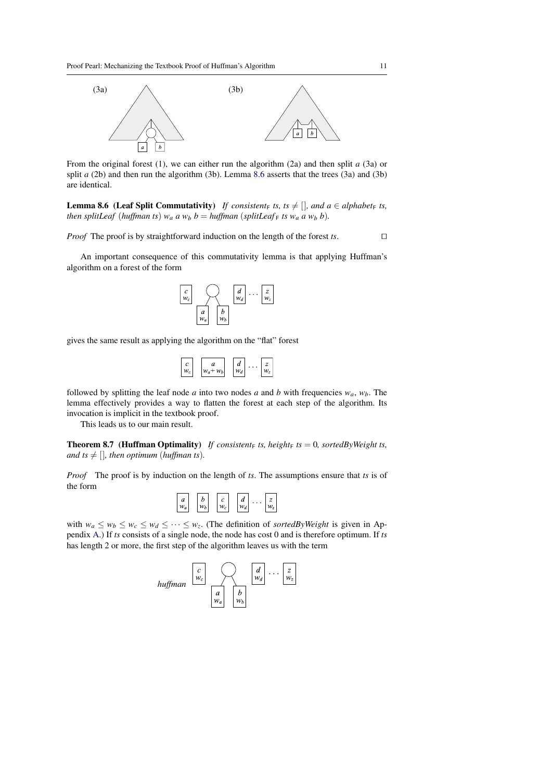

From the original forest (1), we can either run the algorithm (2a) and then split *a* (3a) or split *a* (2b) and then run the algorithm (3b). Lemma [8.6](#page-10-0) asserts that the trees (3a) and (3b) are identical.

<span id="page-10-0"></span>**Lemma 8.6** (Leaf Split Commutativity) *If consistent*<sub>F</sub> *ts, ts*  $\neq$  []*, and a*  $\in$  *alphabet*<sub>F</sub> *ts, then splitLeaf* (*huffman ts*)  $w_a$  *a*  $w_b$  *b* = *huffman* (*splitLeaf*<sub>F</sub> *ts*  $w_a$  *a*  $w_b$  *b*).

*Proof* The proof is by straightforward induction on the length of the forest *ts*.

An important consequence of this commutativity lemma is that applying Huffman's algorithm on a forest of the form



gives the same result as applying the algorithm on the "flat" forest

| $W_c$<br>$w_a + w_b$<br>$W_d$ |
|-------------------------------|
|-------------------------------|

followed by splitting the leaf node *a* into two nodes *a* and *b* with frequencies  $w_a$ ,  $w_b$ . The lemma effectively provides a way to flatten the forest at each step of the algorithm. Its invocation is implicit in the textbook proof.

This leads us to our main result.

<span id="page-10-1"></span>**Theorem 8.7** (Huffman Optimality) *If consistent*<sub>F</sub> *ts, height*<sub>F</sub> *ts* = 0*, sortedByWeight ts, and ts*  $\neq$  []*, then optimum (huffman ts).* 

*Proof* The proof is by induction on the length of *ts*. The assumptions ensure that *ts* is of the form

| a<br>a |  | h<br>c |  | r<br>u<br>c |  | a<br>и |  |  |  |
|--------|--|--------|--|-------------|--|--------|--|--|--|
|--------|--|--------|--|-------------|--|--------|--|--|--|

with  $w_a \leq w_b \leq w_c \leq w_d \leq \cdots \leq w_z$ . (The definition of *sortedByWeight* is given in Appendix [A.](#page-15-10)) If *ts* consists of a single node, the node has cost 0 and is therefore optimum. If *ts* has length 2 or more, the first step of the algorithm leaves us with the term

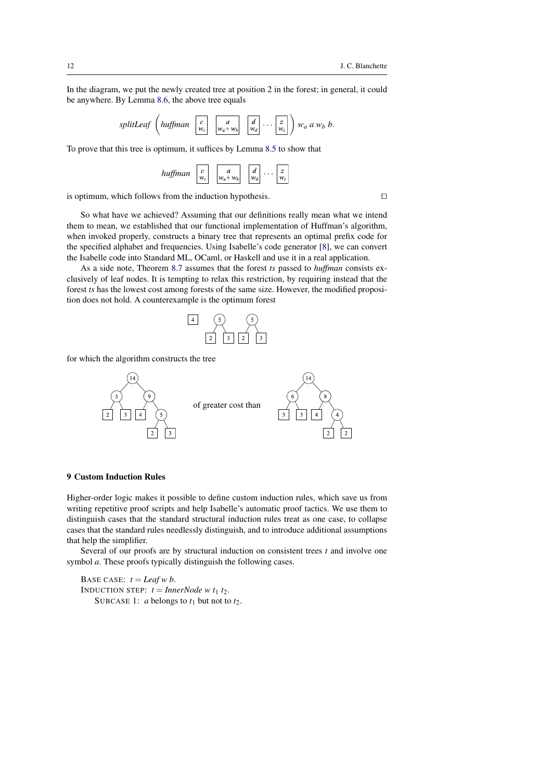In the diagram, we put the newly created tree at position 2 in the forest; in general, it could be anywhere. By Lemma [8.6,](#page-10-0) the above tree equals

|  |  |  |  |  |  | splitLeaf $\left(\text{huffman } \begin{bmatrix} c \\ w_c \end{bmatrix} \begin{bmatrix} a \\ w_a + w_b \end{bmatrix} \begin{bmatrix} d \\ w_d \end{bmatrix} \cdots \begin{bmatrix} z \\ w_z \end{bmatrix} \right) w_a$ a $w_b$ b. |
|--|--|--|--|--|--|-----------------------------------------------------------------------------------------------------------------------------------------------------------------------------------------------------------------------------------|
|--|--|--|--|--|--|-----------------------------------------------------------------------------------------------------------------------------------------------------------------------------------------------------------------------------------|

To prove that this tree is optimum, it suffices by Lemma [8.5](#page-8-1) to show that

| huffman<br>IJ |  | $W_a$ + | ., |  |
|---------------|--|---------|----|--|
|---------------|--|---------|----|--|

is optimum, which follows from the induction hypothesis.  $\square$ 

So what have we achieved? Assuming that our definitions really mean what we intend them to mean, we established that our functional implementation of Huffman's algorithm, when invoked properly, constructs a binary tree that represents an optimal prefix code for the specified alphabet and frequencies. Using Isabelle's code generator [\[8\]](#page-15-12), we can convert the Isabelle code into Standard ML, OCaml, or Haskell and use it in a real application.

As a side note, Theorem [8.7](#page-10-1) assumes that the forest *ts* passed to *huffman* consists exclusively of leaf nodes. It is tempting to relax this restriction, by requiring instead that the forest *ts* has the lowest cost among forests of the same size. However, the modified proposition does not hold. A counterexample is the optimum forest



for which the algorithm constructs the tree



## <span id="page-11-0"></span>9 Custom Induction Rules

Higher-order logic makes it possible to define custom induction rules, which save us from writing repetitive proof scripts and help Isabelle's automatic proof tactics. We use them to distinguish cases that the standard structural induction rules treat as one case, to collapse cases that the standard rules needlessly distinguish, and to introduce additional assumptions that help the simplifier.

Several of our proofs are by structural induction on consistent trees *t* and involve one symbol *a*. These proofs typically distinguish the following cases.

BASE CASE:  $t =$ *Leaf w b.* INDUCTION STEP:  $t = InnerNode \ w \ t_1 \ t_2$ . SUBCASE 1: *a* belongs to  $t_1$  but not to  $t_2$ .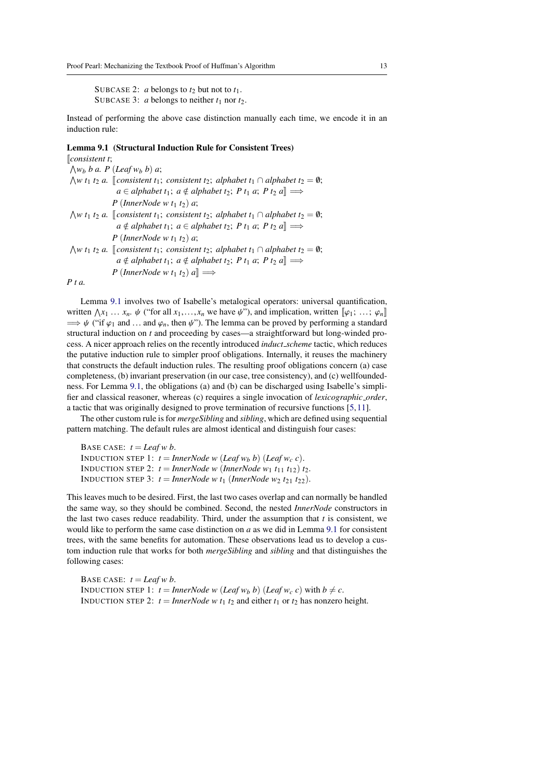SUBCASE 2: *a* belongs to  $t_2$  but not to  $t_1$ . SUBCASE 3: *a* belongs to neither  $t_1$  nor  $t_2$ .

Instead of performing the above case distinction manually each time, we encode it in an induction rule:

# <span id="page-12-0"></span>Lemma 9.1 (Structural Induction Rule for Consistent Trees)

[[*consistent t*;

 $\bigwedge w_b$  *b a*. *P* (*Leaf*  $w_b$  *b*) *a*;  $\bigwedge w$  *t*<sub>1</sub> *t*<sub>2</sub> *a.* [[*consistent t*<sub>1</sub>; *consistent t*<sub>2</sub>; *alphabet t*<sub>1</sub> ∩ *alphabet t*<sub>2</sub> = 0;  $a \in alphabet t_1$ ;  $a \notin alphabet t_2$ ;  $P t_1 a$ ;  $P t_2 a \equiv$ *P* (*InnerNode w t*<sup>1</sup> *t*2) *a*;  $\bigwedge w$  *t*<sub>1</sub> *t*<sub>2</sub> *a.* [[*consistent t*<sub>1</sub>; *consistent t*<sub>2</sub>; *alphabet t*<sub>1</sub> ∩ *alphabet t*<sub>2</sub> = 0;  $a \notin alphabet t_1$ ;  $a \in alphabet t_2$ ;  $P t_1 a$ ;  $P t_2 a$ ]  $\Longrightarrow$ *P* (*InnerNode w t*<sup>1</sup> *t*2) *a*;  $\bigwedge w$  *t*<sub>1</sub> *t*<sub>2</sub> *a.* [[*consistent t*<sub>1</sub>; *consistent t*<sub>2</sub>; *alphabet t*<sub>1</sub> ∩ *alphabet t*<sub>2</sub> = 0;  $a \notin alphabet t_1$ ;  $a \notin alphabet t_2$ ;  $P t_1 a$ ;  $P t_2 a \equiv$ *P* (*InnerNode w*  $t_1$   $t_2$ )  $a$ ]  $\implies$ 

*P t a.*

Lemma [9.1](#page-12-0) involves two of Isabelle's metalogical operators: universal quantification, written  $\bigwedge x_1 \dots x_n$ .  $\psi$  ("for all  $x_1, \dots, x_n$  we have  $\psi$ "), and implication, written  $[\![\varphi_1; \dots; \varphi_n]\!]$ <br> $\longrightarrow \psi$  ("if  $\varphi_1$  and  $\varphi_2$  then  $\psi$ "). The lemma can be proved by performing a standard  $\Rightarrow \psi$  ("if  $\varphi_1$  and ... and  $\varphi_n$ , then  $\psi$ "). The lemma can be proved by performing a standard structural induction on *t* and proceeding by cases—a straightforward but long-winded process. A nicer approach relies on the recently introduced *induct scheme* tactic, which reduces the putative induction rule to simpler proof obligations. Internally, it reuses the machinery that constructs the default induction rules. The resulting proof obligations concern (a) case completeness, (b) invariant preservation (in our case, tree consistency), and (c) wellfoundedness. For Lemma [9.1,](#page-12-0) the obligations (a) and (b) can be discharged using Isabelle's simplifier and classical reasoner, whereas (c) requires a single invocation of *lexicographic order*, a tactic that was originally designed to prove termination of recursive functions [\[5,](#page-15-13)[11\]](#page-15-11).

The other custom rule is for *mergeSibling* and *sibling*, which are defined using sequential pattern matching. The default rules are almost identical and distinguish four cases:

BASE CASE:  $t =$ *Leaf w b*. **INDUCTION STEP 1:**  $t = \text{InnerNode } w \text{ (Leaf } w_b \text{ } b) \text{ (Leaf } w_c \text{ } c).$ INDUCTION STEP 2:  $t = InnerNode \ w \ (InnerNode \ w_1 \ t_{11} \ t_{12}) \ t_2$ . INDUCTION STEP 3:  $t = InnerNode \ w \ t_1$  (*InnerNode*  $w_2 \ t_{21} \ t_{22}$ ).

This leaves much to be desired. First, the last two cases overlap and can normally be handled the same way, so they should be combined. Second, the nested *InnerNode* constructors in the last two cases reduce readability. Third, under the assumption that  $t$  is consistent, we would like to perform the same case distinction on *a* as we did in Lemma [9.1](#page-12-0) for consistent trees, with the same benefits for automation. These observations lead us to develop a custom induction rule that works for both *mergeSibling* and *sibling* and that distinguishes the following cases:

BASE CASE:  $t =$ *Leaf w b.* INDUCTION STEP 1:  $t = InnerNode \ w \ (Leaf \ w_b \ b) \ (Leaf \ w_c \ c) \ with \ b \neq c$ . INDUCTION STEP 2:  $t = InnerNode \ w \ t_1 \ t_2$  and either  $t_1$  or  $t_2$  has nonzero height.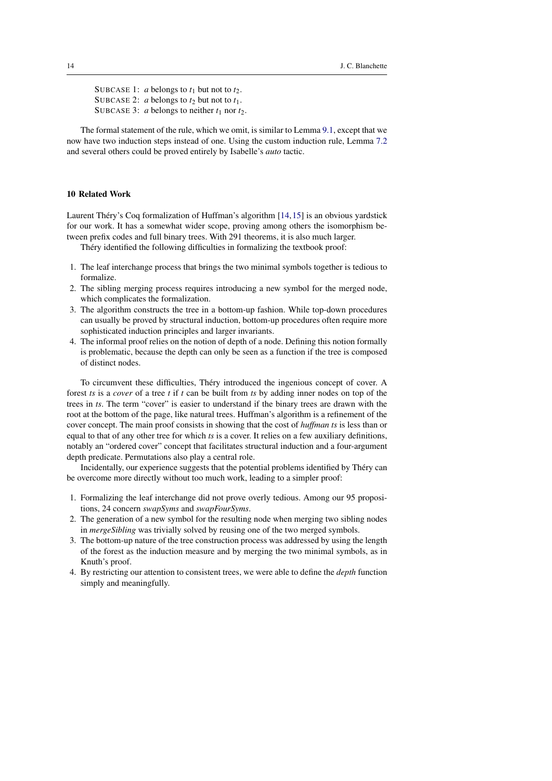SUBCASE 1: *a* belongs to  $t_1$  but not to  $t_2$ . SUBCASE 2: *a* belongs to  $t_2$  but not to  $t_1$ . SUBCASE 3: *a* belongs to neither  $t_1$  nor  $t_2$ .

The formal statement of the rule, which we omit, is similar to Lemma [9.1,](#page-12-0) except that we now have two induction steps instead of one. Using the custom induction rule, Lemma [7.2](#page-6-3) and several others could be proved entirely by Isabelle's *auto* tactic.

#### <span id="page-13-0"></span>10 Related Work

Laurent Théry's Coq formalization of Huffman's algorithm  $[14, 15]$  $[14, 15]$  $[14, 15]$  $[14, 15]$  is an obvious yardstick for our work. It has a somewhat wider scope, proving among others the isomorphism between prefix codes and full binary trees. With 291 theorems, it is also much larger.

Théry identified the following difficulties in formalizing the textbook proof:

- 1. The leaf interchange process that brings the two minimal symbols together is tedious to formalize.
- 2. The sibling merging process requires introducing a new symbol for the merged node, which complicates the formalization.
- 3. The algorithm constructs the tree in a bottom-up fashion. While top-down procedures can usually be proved by structural induction, bottom-up procedures often require more sophisticated induction principles and larger invariants.
- 4. The informal proof relies on the notion of depth of a node. Defining this notion formally is problematic, because the depth can only be seen as a function if the tree is composed of distinct nodes.

To circumvent these difficulties, Thery introduced the ingenious concept of cover. A ´ forest *ts* is a *cover* of a tree *t* if *t* can be built from *ts* by adding inner nodes on top of the trees in *ts*. The term "cover" is easier to understand if the binary trees are drawn with the root at the bottom of the page, like natural trees. Huffman's algorithm is a refinement of the cover concept. The main proof consists in showing that the cost of *huffman ts* is less than or equal to that of any other tree for which *ts* is a cover. It relies on a few auxiliary definitions, notably an "ordered cover" concept that facilitates structural induction and a four-argument depth predicate. Permutations also play a central role.

Incidentally, our experience suggests that the potential problems identified by Thery can ´ be overcome more directly without too much work, leading to a simpler proof:

- 1. Formalizing the leaf interchange did not prove overly tedious. Among our 95 propositions, 24 concern *swapSyms* and *swapFourSyms*.
- 2. The generation of a new symbol for the resulting node when merging two sibling nodes in *mergeSibling* was trivially solved by reusing one of the two merged symbols.
- 3. The bottom-up nature of the tree construction process was addressed by using the length of the forest as the induction measure and by merging the two minimal symbols, as in Knuth's proof.
- 4. By restricting our attention to consistent trees, we were able to define the *depth* function simply and meaningfully.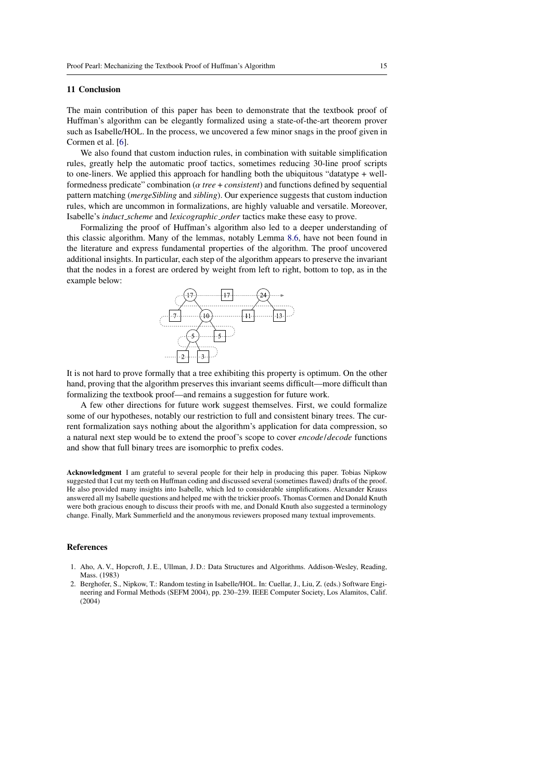## <span id="page-14-0"></span>11 Conclusion

The main contribution of this paper has been to demonstrate that the textbook proof of Huffman's algorithm can be elegantly formalized using a state-of-the-art theorem prover such as Isabelle/HOL. In the process, we uncovered a few minor snags in the proof given in Cormen et al. [\[6\]](#page-15-3).

We also found that custom induction rules, in combination with suitable simplification rules, greatly help the automatic proof tactics, sometimes reducing 30-line proof scripts to one-liners. We applied this approach for handling both the ubiquitous "datatype + wellformedness predicate" combination (α *tree* <sup>+</sup> *consistent*) and functions defined by sequential pattern matching (*mergeSibling* and *sibling*). Our experience suggests that custom induction rules, which are uncommon in formalizations, are highly valuable and versatile. Moreover, Isabelle's *induct scheme* and *lexicographic order* tactics make these easy to prove.

Formalizing the proof of Huffman's algorithm also led to a deeper understanding of this classic algorithm. Many of the lemmas, notably Lemma [8.6,](#page-10-0) have not been found in the literature and express fundamental properties of the algorithm. The proof uncovered additional insights. In particular, each step of the algorithm appears to preserve the invariant that the nodes in a forest are ordered by weight from left to right, bottom to top, as in the example below:



It is not hard to prove formally that a tree exhibiting this property is optimum. On the other hand, proving that the algorithm preserves this invariant seems difficult—more difficult than formalizing the textbook proof—and remains a suggestion for future work.

A few other directions for future work suggest themselves. First, we could formalize some of our hypotheses, notably our restriction to full and consistent binary trees. The current formalization says nothing about the algorithm's application for data compression, so a natural next step would be to extend the proof's scope to cover *encode*/*decode* functions and show that full binary trees are isomorphic to prefix codes.

Acknowledgment I am grateful to several people for their help in producing this paper. Tobias Nipkow suggested that I cut my teeth on Huffman coding and discussed several (sometimes flawed) drafts of the proof. He also provided many insights into Isabelle, which led to considerable simplifications. Alexander Krauss answered all my Isabelle questions and helped me with the trickier proofs. Thomas Cormen and Donald Knuth were both gracious enough to discuss their proofs with me, and Donald Knuth also suggested a terminology change. Finally, Mark Summerfield and the anonymous reviewers proposed many textual improvements.

#### References

- <span id="page-14-2"></span>1. Aho, A. V., Hopcroft, J. E., Ullman, J. D.: Data Structures and Algorithms. Addison-Wesley, Reading, Mass. (1983)
- <span id="page-14-1"></span>2. Berghofer, S., Nipkow, T.: Random testing in Isabelle/HOL. In: Cuellar, J., Liu, Z. (eds.) Software Engineering and Formal Methods (SEFM 2004), pp. 230–239. IEEE Computer Society, Los Alamitos, Calif. (2004)